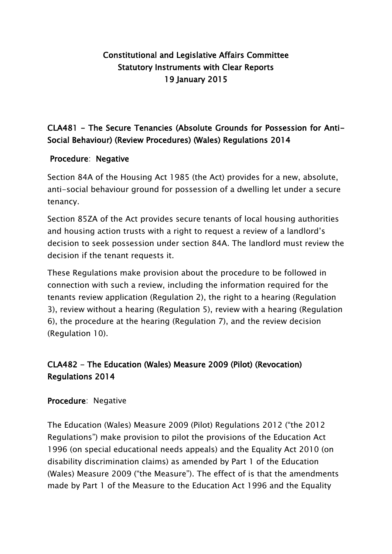## Constitutional and Legislative Affairs Committee Statutory Instruments with Clear Reports 19 January 2015

## CLA481 - The Secure Tenancies (Absolute Grounds for Possession for Anti-Social Behaviour) (Review Procedures) (Wales) Regulations 2014

#### Procedure: Negative

Section 84A of the Housing Act 1985 (the Act) provides for a new, absolute, anti-social behaviour ground for possession of a dwelling let under a secure tenancy.

Section 85ZA of the Act provides secure tenants of local housing authorities and housing action trusts with a right to request a review of a landlord's decision to seek possession under section 84A. The landlord must review the decision if the tenant requests it.

These Regulations make provision about the procedure to be followed in connection with such a review, including the information required for the tenants review application (Regulation 2), the right to a hearing (Regulation 3), review without a hearing (Regulation 5), review with a hearing (Regulation 6), the procedure at the hearing (Regulation 7), and the review decision (Regulation 10).

# CLA482 - The Education (Wales) Measure 2009 (Pilot) (Revocation) Regulations 2014

#### Procedure: Negative

The Education (Wales) Measure 2009 (Pilot) Regulations 2012 ("the 2012 Regulations") make provision to pilot the provisions of the Education Act 1996 (on special educational needs appeals) and the Equality Act 2010 (on disability discrimination claims) as amended by Part 1 of the Education (Wales) Measure 2009 ("the Measure"). The effect of is that the amendments made by Part 1 of the Measure to the Education Act 1996 and the Equality